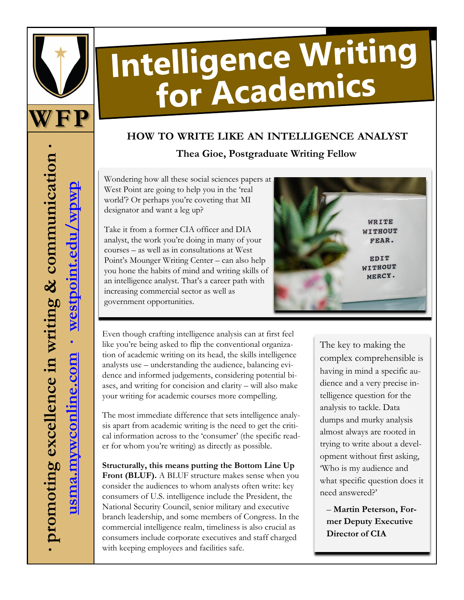

# Intelligence Writing for Academics

## **HOW TO WRITE LIKE AN INTELLIGENCE ANALYST Thea Gioe, Postgraduate Writing Fellow**

Wondering how all these social sciences papers at West Point are going to help you in the 'real world'? Or perhaps you're coveting that MI designator and want a leg up?

Take it from a former CIA officer and DIA analyst, the work you're doing in many of your courses – as well as in consultations at West Point's Mounger Writing Center – can also help you hone the habits of mind and writing skills of an intelligence analyst. That's a career path with increasing commercial sector as well as government opportunities.



Even though crafting intelligence analysis can at first feel like you're being asked to flip the conventional organization of academic writing on its head, the skills intelligence analysts use – understanding the audience, balancing evidence and informed judgements, considering potential biases, and writing for concision and clarity – will also make your writing for academic courses more compelling.

The most immediate difference that sets intelligence analysis apart from academic writing is the need to get the critical information across to the 'consumer' (the specific reader for whom you're writing) as directly as possible.

**Structurally, this means putting the Bottom Line Up Front (BLUF).** A BLUF structure makes sense when you consider the audiences to whom analysts often write: key consumers of U.S. intelligence include the President, the National Security Council, senior military and executive branch leadership, and some members of Congress. In the commercial intelligence realm, timeliness is also crucial as consumers include corporate executives and staff charged with keeping employees and facilities safe.

The key to making the complex comprehensible is having in mind a specific audience and a very precise intelligence question for the analysis to tackle. Data dumps and murky analysis almost always are rooted in trying to write about a development without first asking, 'Who is my audience and what specific question does it need answered?'

– **Martin Peterson, Former Deputy Executive Director of CIA**